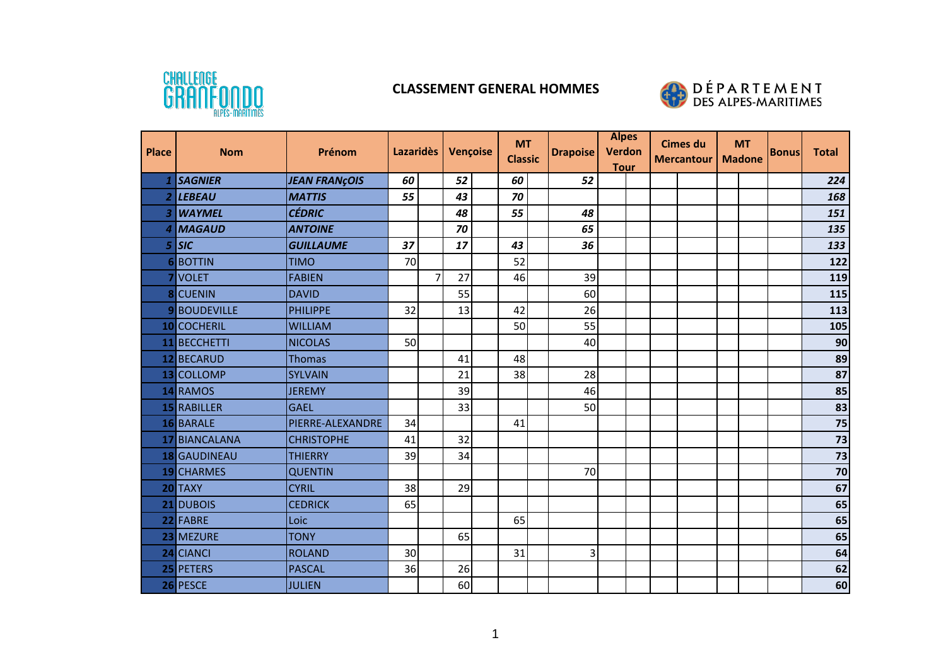

## **CLASSEMENT GENERAL HOMMES**



| <b>Place</b> | <b>Nom</b>        | Prénom               | <b>Lazaridès</b> |                | Vençoise | <b>MT</b><br><b>Classic</b> |  | <b>Drapoise</b> | <b>Alpes</b><br><b>Verdon</b><br><b>Tour</b> |  | <b>Cimes du</b><br><b>Mercantour</b> |  | <b>MT</b><br><b>Madone</b> | <b>Bonus</b> | <b>Total</b>    |
|--------------|-------------------|----------------------|------------------|----------------|----------|-----------------------------|--|-----------------|----------------------------------------------|--|--------------------------------------|--|----------------------------|--------------|-----------------|
|              | <b>SAGNIER</b>    | <b>JEAN FRANÇOIS</b> | 60               |                | 52       | 60                          |  | 52              |                                              |  |                                      |  |                            |              | 224             |
|              | <b>LEBEAU</b>     | <b>MATTIS</b>        | 55               |                | 43       | 70                          |  |                 |                                              |  |                                      |  |                            |              | 168             |
| B            | <b>WAYMEL</b>     | <b>CÉDRIC</b>        |                  |                | 48       | 55                          |  | 48              |                                              |  |                                      |  |                            |              | 151             |
| Δ            | <b>MAGAUD</b>     | <b>ANTOINE</b>       |                  |                | 70       |                             |  | 65              |                                              |  |                                      |  |                            |              | 135             |
| 5            | <b>SIC</b>        | <b>GUILLAUME</b>     | 37               |                | 17       | 43                          |  | 36              |                                              |  |                                      |  |                            |              | 133             |
| 6            | BOTTIN            | <b>TIMO</b>          | 70               |                |          | 52                          |  |                 |                                              |  |                                      |  |                            |              | 122             |
|              | <b>VOLET</b>      | <b>FABIEN</b>        |                  | $\overline{7}$ | 27       | 46                          |  | 39              |                                              |  |                                      |  |                            |              | 119             |
|              | <b>CUENIN</b>     | <b>DAVID</b>         |                  |                | 55       |                             |  | 60              |                                              |  |                                      |  |                            |              | 115             |
| 9            | <b>BOUDEVILLE</b> | <b>PHILIPPE</b>      | 32               |                | 13       | 42                          |  | 26              |                                              |  |                                      |  |                            |              | 113             |
|              | 10 COCHERIL       | <b>WILLIAM</b>       |                  |                |          | 50                          |  | 55              |                                              |  |                                      |  |                            |              | 105             |
| 11           | <b>BECCHETTI</b>  | <b>NICOLAS</b>       | 50               |                |          |                             |  | 40              |                                              |  |                                      |  |                            |              | 90              |
|              | 12 BECARUD        | <b>Thomas</b>        |                  |                | 41       | 48                          |  |                 |                                              |  |                                      |  |                            |              | 89              |
|              | 13 COLLOMP        | <b>SYLVAIN</b>       |                  |                | 21       | 38                          |  | 28              |                                              |  |                                      |  |                            |              | 87              |
|              | 14 RAMOS          | <b>JEREMY</b>        |                  |                | 39       |                             |  | 46              |                                              |  |                                      |  |                            |              | 85              |
| 15           | RABILLER          | <b>GAEL</b>          |                  |                | 33       |                             |  | 50              |                                              |  |                                      |  |                            |              | 83              |
|              | 16 BARALE         | PIERRE-ALEXANDRE     | 34               |                |          | 41                          |  |                 |                                              |  |                                      |  |                            |              | 75              |
|              | 17 BIANCALANA     | <b>CHRISTOPHE</b>    | 41               |                | 32       |                             |  |                 |                                              |  |                                      |  |                            |              | $\overline{73}$ |
| <b>18</b>    | <b>GAUDINEAU</b>  | <b>THIERRY</b>       | 39               |                | 34       |                             |  |                 |                                              |  |                                      |  |                            |              | 73              |
| 19           | <b>CHARMES</b>    | <b>QUENTIN</b>       |                  |                |          |                             |  | 70              |                                              |  |                                      |  |                            |              | $\overline{70}$ |
|              | 20 TAXY           | <b>CYRIL</b>         | 38               |                | 29       |                             |  |                 |                                              |  |                                      |  |                            |              | 67              |
| 21           | <b>DUBOIS</b>     | <b>CEDRICK</b>       | 65               |                |          |                             |  |                 |                                              |  |                                      |  |                            |              | 65              |
|              | 22 FABRE          | Loic                 |                  |                |          | 65                          |  |                 |                                              |  |                                      |  |                            |              | 65              |
| 23           | MEZURE            | <b>TONY</b>          |                  |                | 65       |                             |  |                 |                                              |  |                                      |  |                            |              | 65              |
|              | 24 CIANCI         | <b>ROLAND</b>        | 30               |                |          | 31                          |  | 3               |                                              |  |                                      |  |                            |              | 64              |
|              | 25 PETERS         | <b>PASCAL</b>        | 36               |                | 26       |                             |  |                 |                                              |  |                                      |  |                            |              | 62              |
|              | 26 PESCE          | <b>JULIEN</b>        |                  |                | 60       |                             |  |                 |                                              |  |                                      |  |                            |              | 60              |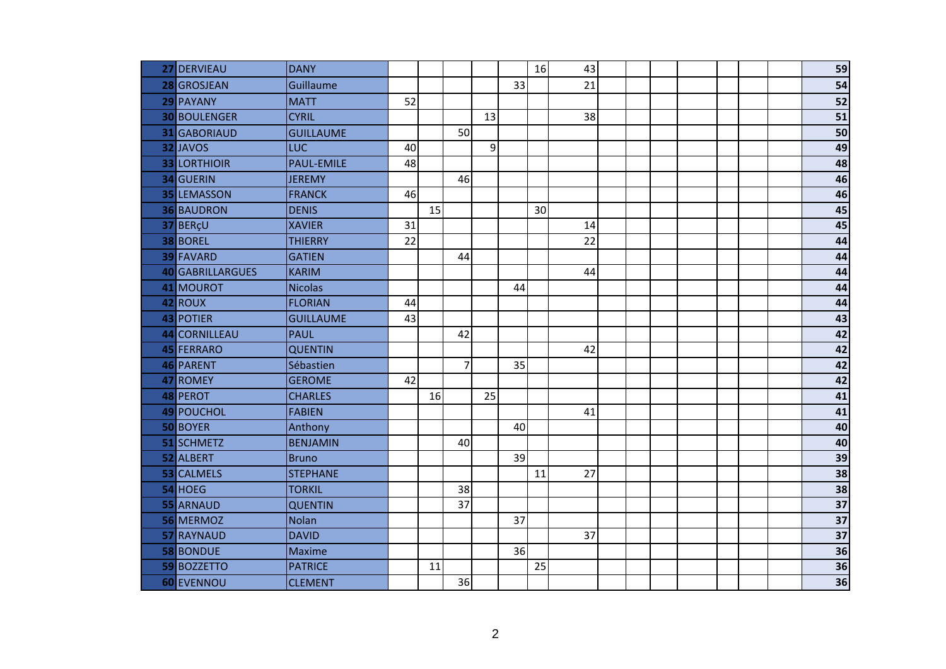| 27 | DERVIEAU         | <b>DANY</b>      |    |    |                |    |    | 16 | 43 |  |  |  | 59              |
|----|------------------|------------------|----|----|----------------|----|----|----|----|--|--|--|-----------------|
|    | 28 GROSJEAN      | Guillaume        |    |    |                |    | 33 |    | 21 |  |  |  | 54              |
|    | 29 PAYANY        | <b>MATT</b>      | 52 |    |                |    |    |    |    |  |  |  | 52              |
|    | 30 BOULENGER     | <b>CYRIL</b>     |    |    |                | 13 |    |    | 38 |  |  |  | $\overline{51}$ |
| 31 | <b>GABORIAUD</b> | <b>GUILLAUME</b> |    |    | 50             |    |    |    |    |  |  |  | $\overline{50}$ |
|    | 32 JAVOS         | LUC              | 40 |    |                | 9  |    |    |    |  |  |  | 49              |
|    | 33 LORTHIOIR     | PAUL-EMILE       | 48 |    |                |    |    |    |    |  |  |  | 48              |
|    | 34 GUERIN        | <b>JEREMY</b>    |    |    | 46             |    |    |    |    |  |  |  | 46              |
|    | 35 LEMASSON      | <b>FRANCK</b>    | 46 |    |                |    |    |    |    |  |  |  | 46              |
|    | 36 BAUDRON       | <b>DENIS</b>     |    | 15 |                |    |    | 30 |    |  |  |  | 45              |
|    | 37 BERçU         | <b>XAVIER</b>    | 31 |    |                |    |    |    | 14 |  |  |  | 45              |
|    | 38 BOREL         | <b>THIERRY</b>   | 22 |    |                |    |    |    | 22 |  |  |  | $\overline{44}$ |
|    | 39 FAVARD        | <b>GATIEN</b>    |    |    | 44             |    |    |    |    |  |  |  | 44              |
|    | 40 GABRILLARGUES | <b>KARIM</b>     |    |    |                |    |    |    | 44 |  |  |  | 44              |
| 41 | MOUROT           | <b>Nicolas</b>   |    |    |                |    | 44 |    |    |  |  |  | 44              |
|    | 42 ROUX          | <b>FLORIAN</b>   | 44 |    |                |    |    |    |    |  |  |  | 44              |
|    | 43 POTIER        | <b>GUILLAUME</b> | 43 |    |                |    |    |    |    |  |  |  | 43              |
|    | 44 CORNILLEAU    | <b>PAUL</b>      |    |    | 42             |    |    |    |    |  |  |  | 42              |
|    | 45 FERRARO       | <b>QUENTIN</b>   |    |    |                |    |    |    | 42 |  |  |  | 42              |
|    | 46 PARENT        | Sébastien        |    |    | $\overline{7}$ |    | 35 |    |    |  |  |  | 42              |
|    | 47 ROMEY         | <b>GEROME</b>    | 42 |    |                |    |    |    |    |  |  |  | 42              |
|    | 48 PEROT         | <b>CHARLES</b>   |    | 16 |                | 25 |    |    |    |  |  |  | 41              |
|    | 49 POUCHOL       | <b>FABIEN</b>    |    |    |                |    |    |    | 41 |  |  |  | $\overline{41}$ |
|    | 50 BOYER         | Anthony          |    |    |                |    | 40 |    |    |  |  |  | 40              |
| 51 | SCHMETZ          | <b>BENJAMIN</b>  |    |    | 40             |    |    |    |    |  |  |  | 40              |
|    | 52 ALBERT        | <b>Bruno</b>     |    |    |                |    | 39 |    |    |  |  |  | 39              |
| 53 | <b>CALMELS</b>   | <b>STEPHANE</b>  |    |    |                |    |    | 11 | 27 |  |  |  | $\overline{38}$ |
|    | 54 HOEG          | <b>TORKIL</b>    |    |    | 38             |    |    |    |    |  |  |  | $\overline{38}$ |
|    | 55 ARNAUD        | <b>QUENTIN</b>   |    |    | 37             |    |    |    |    |  |  |  | $\overline{37}$ |
|    | 56 MERMOZ        | Nolan            |    |    |                |    | 37 |    |    |  |  |  | $\overline{37}$ |
|    | 57 RAYNAUD       | <b>DAVID</b>     |    |    |                |    |    |    | 37 |  |  |  | $\overline{37}$ |
|    | 58 BONDUE        | Maxime           |    |    |                |    | 36 |    |    |  |  |  | $\overline{36}$ |
|    | 59 BOZZETTO      | <b>PATRICE</b>   |    | 11 |                |    |    | 25 |    |  |  |  | $\overline{36}$ |
|    | 60 EVENNOU       | <b>CLEMENT</b>   |    |    | 36             |    |    |    |    |  |  |  | $\overline{36}$ |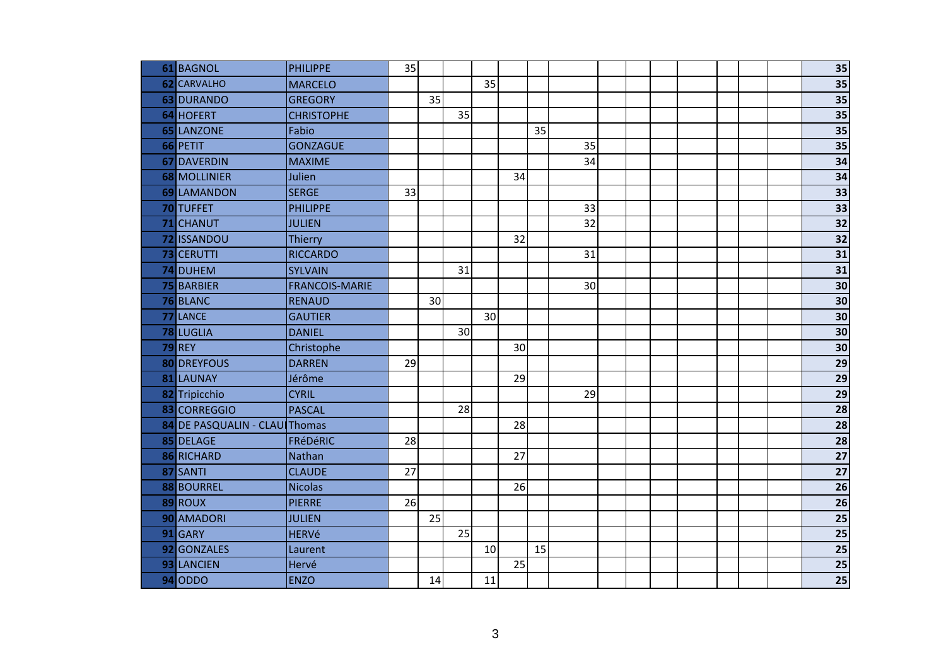| 61 BAGNOL                     | PHILIPPE              | 35 |    |                 |    |    |    |    |  |  |  | 35              |
|-------------------------------|-----------------------|----|----|-----------------|----|----|----|----|--|--|--|-----------------|
| 62 CARVALHO                   | <b>MARCELO</b>        |    |    |                 | 35 |    |    |    |  |  |  | $\overline{35}$ |
| 63 DURANDO                    | <b>GREGORY</b>        |    | 35 |                 |    |    |    |    |  |  |  | $\overline{35}$ |
| 64 HOFERT                     | <b>CHRISTOPHE</b>     |    |    | 35              |    |    |    |    |  |  |  | $\overline{35}$ |
| 65 LANZONE                    | Fabio                 |    |    |                 |    |    | 35 |    |  |  |  | $\overline{35}$ |
| 66 PETIT                      | <b>GONZAGUE</b>       |    |    |                 |    |    |    | 35 |  |  |  | $\overline{35}$ |
| 67 DAVERDIN                   | <b>MAXIME</b>         |    |    |                 |    |    |    | 34 |  |  |  | 34              |
| 68 MOLLINIER                  | Julien                |    |    |                 |    | 34 |    |    |  |  |  | 34              |
| 69 LAMANDON                   | <b>SERGE</b>          | 33 |    |                 |    |    |    |    |  |  |  | 33              |
| 70 TUFFET                     | <b>PHILIPPE</b>       |    |    |                 |    |    |    | 33 |  |  |  | $\overline{33}$ |
| 71 CHANUT                     | <b>JULIEN</b>         |    |    |                 |    |    |    | 32 |  |  |  | $\overline{32}$ |
| 72 ISSANDOU                   | Thierry               |    |    |                 |    | 32 |    |    |  |  |  | $\overline{32}$ |
| 73 CERUTTI                    | <b>RICCARDO</b>       |    |    |                 |    |    |    | 31 |  |  |  | 31              |
| 74 DUHEM                      | <b>SYLVAIN</b>        |    |    | 31              |    |    |    |    |  |  |  | $\overline{31}$ |
| 75 BARBIER                    | <b>FRANCOIS-MARIE</b> |    |    |                 |    |    |    | 30 |  |  |  | 30              |
| 76 BLANC                      | <b>RENAUD</b>         |    | 30 |                 |    |    |    |    |  |  |  | 30              |
| 77 LANCE                      | <b>GAUTIER</b>        |    |    |                 | 30 |    |    |    |  |  |  | $\overline{30}$ |
| 78 LUGLIA                     | <b>DANIEL</b>         |    |    | 30 <sup>1</sup> |    |    |    |    |  |  |  | 30              |
| <b>79 REY</b>                 | Christophe            |    |    |                 |    | 30 |    |    |  |  |  | 30              |
| 80 DREYFOUS                   | <b>DARREN</b>         | 29 |    |                 |    |    |    |    |  |  |  | $\overline{29}$ |
| 81 LAUNAY                     | Jérôme                |    |    |                 |    | 29 |    |    |  |  |  | $\overline{29}$ |
| 82 Tripicchio                 | <b>CYRIL</b>          |    |    |                 |    |    |    | 29 |  |  |  | $\overline{29}$ |
| 83 CORREGGIO                  | <b>PASCAL</b>         |    |    | 28              |    |    |    |    |  |  |  | 28              |
| 84 DE PASQUALIN - CLAU Thomas |                       |    |    |                 |    | 28 |    |    |  |  |  | 28              |
| 85 DELAGE                     | FRéDéRIC              | 28 |    |                 |    |    |    |    |  |  |  | $\overline{28}$ |
| 86 RICHARD                    | Nathan                |    |    |                 |    | 27 |    |    |  |  |  | $\overline{27}$ |
| 87 SANTI                      | <b>CLAUDE</b>         | 27 |    |                 |    |    |    |    |  |  |  | $\overline{27}$ |
| 88 BOURREL                    | <b>Nicolas</b>        |    |    |                 |    | 26 |    |    |  |  |  | $\overline{26}$ |
| 89 ROUX                       | <b>PIERRE</b>         | 26 |    |                 |    |    |    |    |  |  |  | 26              |
| 90 AMADORI                    | <b>JULIEN</b>         |    | 25 |                 |    |    |    |    |  |  |  | 25              |
| 91 GARY                       | <b>HERVé</b>          |    |    | 25              |    |    |    |    |  |  |  | $\overline{25}$ |
| 92 GONZALES                   | Laurent               |    |    |                 | 10 |    | 15 |    |  |  |  | $\overline{25}$ |
| 93 LANCIEN                    | Hervé                 |    |    |                 |    | 25 |    |    |  |  |  | $\overline{25}$ |
| $94$ ODDO                     | <b>ENZO</b>           |    | 14 |                 | 11 |    |    |    |  |  |  | 25              |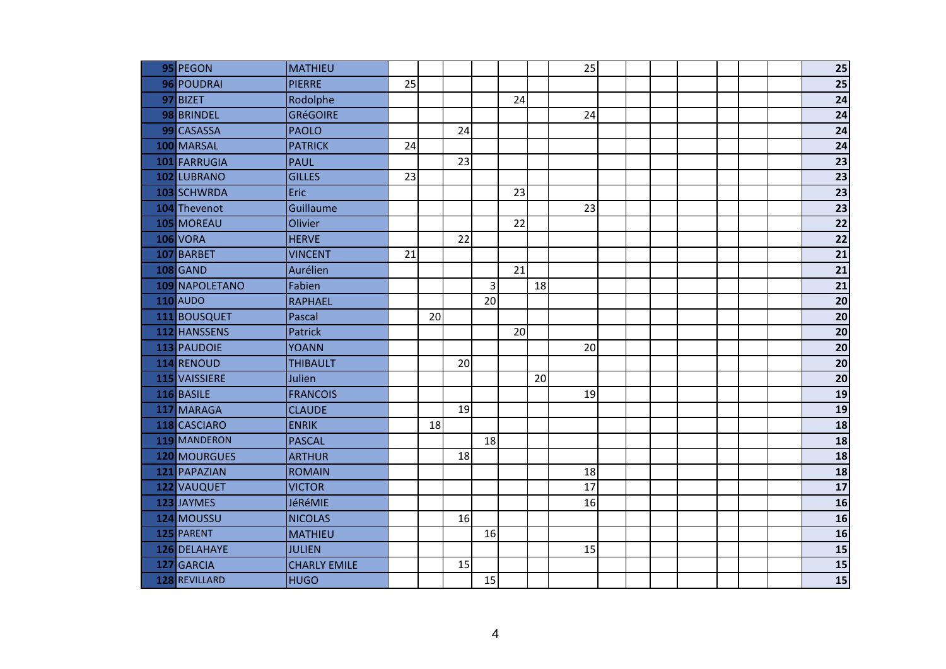|     | 95 PEGON        | <b>MATHIEU</b>      |    |    |    |    |    |    | 25 |  |  |  | 25                       |
|-----|-----------------|---------------------|----|----|----|----|----|----|----|--|--|--|--------------------------|
|     | 96 POUDRAI      | <b>PIERRE</b>       | 25 |    |    |    |    |    |    |  |  |  | $\overline{25}$          |
|     | 97 BIZET        | Rodolphe            |    |    |    |    | 24 |    |    |  |  |  | 24                       |
|     | 98 BRINDEL      | <b>GRéGOIRE</b>     |    |    |    |    |    |    | 24 |  |  |  | $\overline{24}$          |
|     | 99 CASASSA      | <b>PAOLO</b>        |    |    | 24 |    |    |    |    |  |  |  | $\overline{24}$          |
|     | 100 MARSAL      | <b>PATRICK</b>      | 24 |    |    |    |    |    |    |  |  |  | $\overline{24}$          |
| 101 | FARRUGIA        | <b>PAUL</b>         |    |    | 23 |    |    |    |    |  |  |  | $\overline{23}$          |
|     | 102 LUBRANO     | <b>GILLES</b>       | 23 |    |    |    |    |    |    |  |  |  | $\overline{23}$          |
|     | 103 SCHWRDA     | Eric                |    |    |    |    | 23 |    |    |  |  |  | $\overline{23}$          |
|     | 104 Thevenot    | Guillaume           |    |    |    |    |    |    | 23 |  |  |  | $\overline{23}$          |
|     | 105 MOREAU      | Olivier             |    |    |    |    | 22 |    |    |  |  |  | $\overline{22}$          |
|     | <b>106 VORA</b> | <b>HERVE</b>        |    |    | 22 |    |    |    |    |  |  |  | $\overline{22}$          |
| 107 | BARBET          | <b>VINCENT</b>      | 21 |    |    |    |    |    |    |  |  |  | $\overline{21}$          |
|     | <b>108 GAND</b> | Aurélien            |    |    |    |    | 21 |    |    |  |  |  | 21                       |
|     | 109 NAPOLETANO  | Fabien              |    |    |    | 3  |    | 18 |    |  |  |  | $\overline{21}$          |
|     | <b>110</b> AUDO | <b>RAPHAEL</b>      |    |    |    | 20 |    |    |    |  |  |  | $\overline{20}$          |
|     | 111 BOUSQUET    | Pascal              |    | 20 |    |    |    |    |    |  |  |  | $\overline{20}$          |
|     | 112 HANSSENS    | <b>Patrick</b>      |    |    |    |    | 20 |    |    |  |  |  | $\overline{20}$          |
|     | 113 PAUDOIE     | <b>YOANN</b>        |    |    |    |    |    |    | 20 |  |  |  | 20                       |
|     | 114 RENOUD      | <b>THIBAULT</b>     |    |    | 20 |    |    |    |    |  |  |  | $\overline{20}$          |
|     | 115 VAISSIERE   | Julien              |    |    |    |    |    | 20 |    |  |  |  | $\overline{20}$          |
|     | 116 BASILE      | <b>FRANCOIS</b>     |    |    |    |    |    |    | 19 |  |  |  | $\overline{19}$          |
|     | 117 MARAGA      | <b>CLAUDE</b>       |    |    | 19 |    |    |    |    |  |  |  | 19                       |
|     | 118 CASCIARO    | <b>ENRIK</b>        |    | 18 |    |    |    |    |    |  |  |  | $\overline{\mathbf{18}}$ |
|     | 119 MANDERON    | <b>PASCAL</b>       |    |    |    | 18 |    |    |    |  |  |  | 18                       |
|     | 120 MOURGUES    | <b>ARTHUR</b>       |    |    | 18 |    |    |    |    |  |  |  | $\overline{18}$          |
|     | 121 PAPAZIAN    | <b>ROMAIN</b>       |    |    |    |    |    |    | 18 |  |  |  | $\overline{18}$          |
|     | 122 VAUQUET     | <b>VICTOR</b>       |    |    |    |    |    |    | 17 |  |  |  | $\overline{\mathbf{17}}$ |
|     | 123 JAYMES      | JéRéMIE             |    |    |    |    |    |    | 16 |  |  |  | 16                       |
|     | 124 MOUSSU      | <b>NICOLAS</b>      |    |    | 16 |    |    |    |    |  |  |  | 16                       |
|     | 125 PARENT      | <b>MATHIEU</b>      |    |    |    | 16 |    |    |    |  |  |  | $\overline{\mathbf{16}}$ |
|     | 126 DELAHAYE    | <b>JULIEN</b>       |    |    |    |    |    |    | 15 |  |  |  | $\overline{\mathbf{15}}$ |
| 127 | GARCIA          | <b>CHARLY EMILE</b> |    |    | 15 |    |    |    |    |  |  |  | 15                       |
|     | 128 REVILLARD   | <b>HUGO</b>         |    |    |    | 15 |    |    |    |  |  |  | 15                       |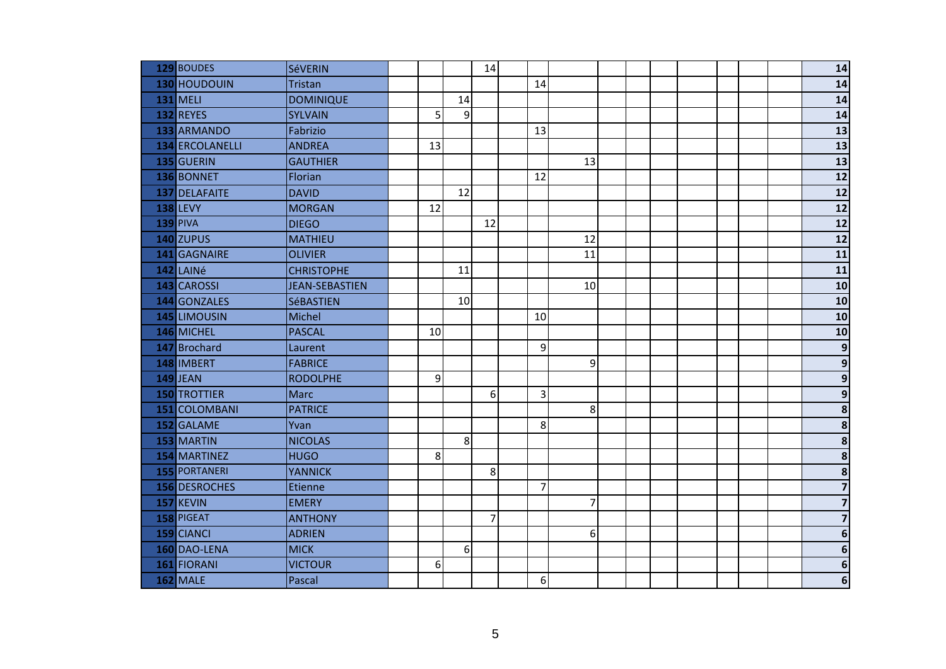| 129 BOUDES           | <b>SéVERIN</b>        |    |         | 14 |                         |                |  |  |  | 14                      |
|----------------------|-----------------------|----|---------|----|-------------------------|----------------|--|--|--|-------------------------|
| 130 HOUDOUIN         | Tristan               |    |         |    | 14                      |                |  |  |  | 14                      |
| <b>131 MELI</b>      | <b>DOMINIQUE</b>      |    | 14      |    |                         |                |  |  |  | 14                      |
| 132 REYES            | <b>SYLVAIN</b>        | 5  | 9       |    |                         |                |  |  |  | 14                      |
| 133 ARMANDO          | Fabrizio              |    |         |    | 13                      |                |  |  |  | $\overline{13}$         |
| 134 ERCOLANELLI      | <b>ANDREA</b>         | 13 |         |    |                         |                |  |  |  | $\overline{13}$         |
| 135 GUERIN           | <b>GAUTHIER</b>       |    |         |    |                         | 13             |  |  |  | $\frac{1}{13}$          |
| 136 BONNET           | Florian               |    |         |    | 12                      |                |  |  |  | 12                      |
| 137 DELAFAITE        | <b>DAVID</b>          |    | 12      |    |                         |                |  |  |  | $\overline{12}$         |
| <b>138 LEVY</b>      | <b>MORGAN</b>         | 12 |         |    |                         |                |  |  |  | $\overline{12}$         |
| <b>139 PIVA</b>      | <b>DIEGO</b>          |    |         | 12 |                         |                |  |  |  | $\overline{12}$         |
| 140 ZUPUS            | <b>MATHIEU</b>        |    |         |    |                         | 12             |  |  |  | $12$                    |
| 141 GAGNAIRE         | <b>OLIVIER</b>        |    |         |    |                         | 11             |  |  |  | 11                      |
| 142 LAINé            | <b>CHRISTOPHE</b>     |    | 11      |    |                         |                |  |  |  | 11                      |
| 143 CAROSSI          | <b>JEAN-SEBASTIEN</b> |    |         |    |                         | 10             |  |  |  | $\overline{10}$         |
| 144 GONZALES         | <b>SéBASTIEN</b>      |    | 10      |    |                         |                |  |  |  | 10                      |
| 145 LIMOUSIN         | Michel                |    |         |    | 10                      |                |  |  |  | 10                      |
| 146 MICHEL           | <b>PASCAL</b>         | 10 |         |    |                         |                |  |  |  | 10                      |
| 147 Brochard         | Laurent               |    |         |    | 9                       |                |  |  |  | $\overline{9}$          |
| 148 IMBERT           | <b>FABRICE</b>        |    |         |    |                         | 9              |  |  |  | $\overline{9}$          |
| <b>149 JEAN</b>      | <b>RODOLPHE</b>       | 9  |         |    |                         |                |  |  |  | $\overline{9}$          |
| <b>150 TROTTIER</b>  | <b>Marc</b>           |    |         | 6  | $\overline{\mathbf{3}}$ |                |  |  |  | $\overline{9}$          |
| 151 COLOMBANI        | <b>PATRICE</b>        |    |         |    |                         | 8              |  |  |  | $\overline{\mathbf{8}}$ |
| 152 GALAME           | Yvan                  |    |         |    | 8                       |                |  |  |  | $\overline{\mathbf{8}}$ |
| 153 MARTIN           | <b>NICOLAS</b>        |    | $\bf 8$ |    |                         |                |  |  |  | $\overline{\mathbf{8}}$ |
| 154 MARTINEZ         | <b>HUGO</b>           | 8  |         |    |                         |                |  |  |  | $\overline{\mathbf{8}}$ |
| <b>155 PORTANERI</b> | <b>YANNICK</b>        |    |         | 8  |                         |                |  |  |  | $\overline{\mathbf{8}}$ |
| 156 DESROCHES        | Etienne               |    |         |    | $\overline{7}$          |                |  |  |  | $\overline{\mathbf{z}}$ |
| 157 KEVIN            | <b>EMERY</b>          |    |         |    |                         | $\overline{7}$ |  |  |  | $\overline{\mathbf{z}}$ |
| 158 PIGEAT           | <b>ANTHONY</b>        |    |         | 7  |                         |                |  |  |  | $\overline{\mathbf{z}}$ |
| 159 CIANCI           | <b>ADRIEN</b>         |    |         |    |                         | 6              |  |  |  | $6\phantom{1}$          |
| 160 DAO-LENA         | <b>MICK</b>           |    | 6       |    |                         |                |  |  |  | $\overline{6}$          |
| 161 FIORANI          | <b>VICTOUR</b>        | 6  |         |    |                         |                |  |  |  | $\boldsymbol{6}$        |
| <b>162 MALE</b>      | Pascal                |    |         |    | 6                       |                |  |  |  | $\boldsymbol{6}$        |